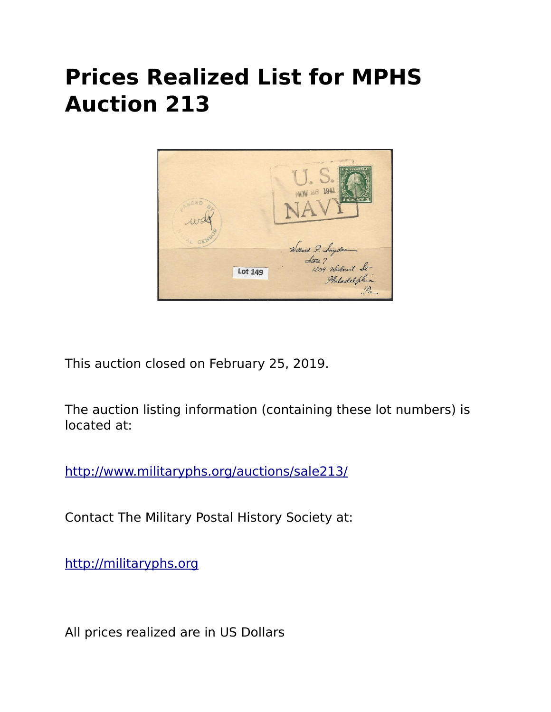## **Prices Realized List for MPHS Auction 213**



This auction closed on February 25, 2019.

The auction listing information (containing these lot numbers) is located at:

<http://www.militaryphs.org/auctions/sale213/>

Contact The Military Postal History Society at:

[http://militaryphs.org](http://militaryphs.org/)

All prices realized are in US Dollars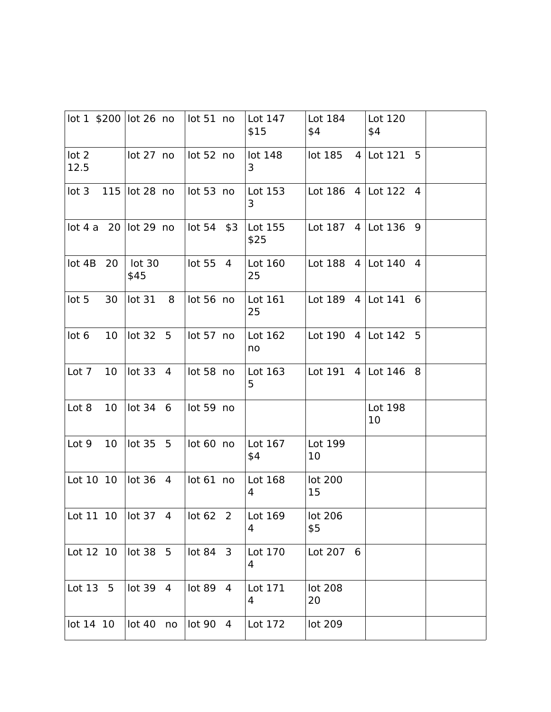|                          |    | lot 1 \$200 lot 26 no            |   | lot 51 no  |   | Lot 147<br>\$15 | Lot 184<br>\$4          | Lot 120<br>\$4        |  |
|--------------------------|----|----------------------------------|---|------------|---|-----------------|-------------------------|-----------------------|--|
| lot <sub>2</sub><br>12.5 |    | lot 27 no                        |   | lot 52 no  |   | lot 148<br>3    | lot 185                 | 5<br>4 Lot $121$      |  |
| lot <sub>3</sub>         |    | 115 $\vert$ lot 28 no            |   | lot 53 no  |   | Lot 153<br>3    |                         | Lot 186 $4$ Lot 122 4 |  |
|                          |    | $lot 4 a 20$ $lot 29 no$         |   | lot 54 \$3 |   | Lot 155<br>\$25 |                         | Lot 187 $4$ Lot 136 9 |  |
| lot 4B                   | 20 | lot 30<br>\$45                   |   | lot 55 4   |   | Lot 160<br>25   | Lot $188 \ 4$ Lot $140$ | 4                     |  |
| lot <sub>5</sub>         | 30 | lot <sub>31</sub>                | 8 | lot 56 no  |   | Lot 161<br>25   | Lot $189 \ 4$ Lot $141$ | 6                     |  |
| lot <sub>6</sub>         | 10 | lot 32 5                         |   | lot 57 no  |   | Lot 162<br>no   | Lot 190 $4$ Lot 142     | 5                     |  |
| Lot 7                    | 10 | lot 33 4                         |   | lot 58 no  |   | Lot 163<br>5    | Lot 191                 | $4$ Lot 146<br>8      |  |
| Lot 8                    | 10 | lot 34 6                         |   | lot 59 no  |   |                 |                         | Lot 198<br>10         |  |
| Lot 9                    | 10 | lot 35 5                         |   | lot 60 no  |   | Lot 167<br>\$4  | Lot 199<br>10           |                       |  |
| Lot 10 10                |    | lot 36 4                         |   | lot 61 no  |   | Lot 168<br>4    | lot 200<br>15           |                       |  |
|                          |    | Lot 11 10 $\vert \vert$ lot 37 4 |   | lot 62 2   |   | Lot $169$<br>4  | lot 206<br>\$5          |                       |  |
| Lot 12 10                |    | lot 38 5                         |   | lot 84 3   |   | Lot 170<br>4    | Lot 207 6               |                       |  |
| Lot $13 \quad 5$         |    | lot 39 4                         |   | lot 89     | 4 | Lot 171<br>4    | lot 208<br>20           |                       |  |
| lot 14 10                |    | lot 40 no                        |   | lot 90 4   |   | Lot 172         | lot 209                 |                       |  |